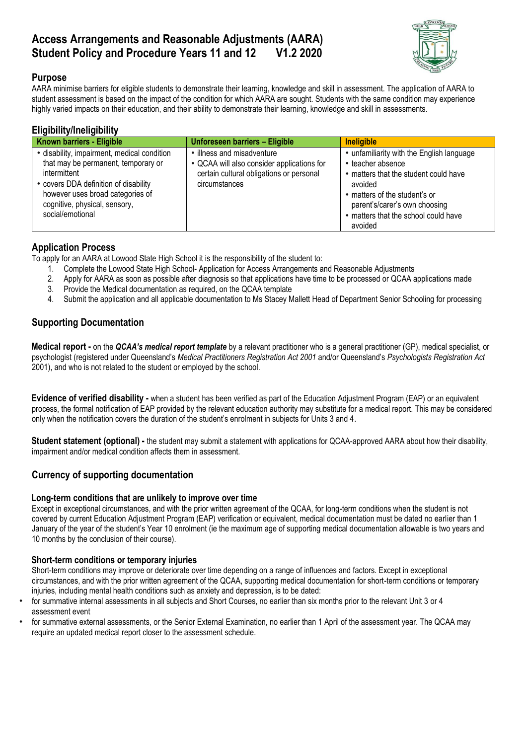# **Access Arrangements and Reasonable Adjustments (AARA) Student Policy and Procedure Years 11 and 12 V1.2 2020**



# **Purpose**

AARA minimise barriers for eligible students to demonstrate their learning, knowledge and skill in assessment. The application of AARA to student assessment is based on the impact of the condition for which AARA are sought. Students with the same condition may experience highly varied impacts on their education, and their ability to demonstrate their learning, knowledge and skill in assessments.

# **Eligibility/Ineligibility**

| Known barriers - Eligible                                                                                                                                                                                                            | Unforeseen barriers - Eligible                                                                                                      | <b>Ineligible</b>                                                                                                                                                                                                                       |
|--------------------------------------------------------------------------------------------------------------------------------------------------------------------------------------------------------------------------------------|-------------------------------------------------------------------------------------------------------------------------------------|-----------------------------------------------------------------------------------------------------------------------------------------------------------------------------------------------------------------------------------------|
| • disability, impairment, medical condition<br>that may be permanent, temporary or<br>intermittent<br>• covers DDA definition of disability<br>however uses broad categories of<br>cognitive, physical, sensory,<br>social/emotional | illness and misadventure<br>• QCAA will also consider applications for<br>certain cultural obligations or personal<br>circumstances | • unfamiliarity with the English language<br>• teacher absence<br>• matters that the student could have<br>avoided<br>• matters of the student's or<br>parent's/carer's own choosing<br>• matters that the school could have<br>avoided |

### **Application Process**

To apply for an AARA at Lowood State High School it is the responsibility of the student to:

- 1. Complete the Lowood State High School- Application for Access Arrangements and Reasonable Adjustments
- 2. Apply for AARA as soon as possible after diagnosis so that applications have time to be processed or QCAA applications made
- 3. Provide the Medical documentation as required, on the QCAA template
- 4. Submit the application and all applicable documentation to Ms Stacey Mallett Head of Department Senior Schooling for processing

# **Supporting Documentation**

**Medical report -** on the *QCAA's medical report template* by a relevant practitioner who is a general practitioner (GP), medical specialist, or psychologist (registered under Queensland's *Medical Practitioners Registration Act 2001* and/or Queensland's *Psychologists Registration Act* 2001), and who is not related to the student or employed by the school.

**Evidence of verified disability -** when a student has been verified as part of the Education Adjustment Program (EAP) or an equivalent process, the formal notification of EAP provided by the relevant education authority may substitute for a medical report. This may be considered only when the notification covers the duration of the student's enrolment in subjects for Units 3 and 4.

**Student statement (optional) -** the student may submit a statement with applications for QCAA-approved AARA about how their disability, impairment and/or medical condition affects them in assessment.

# **Currency of supporting documentation**

## **Long-term conditions that are unlikely to improve over time**

Except in exceptional circumstances, and with the prior written agreement of the QCAA, for long-term conditions when the student is not covered by current Education Adjustment Program (EAP) verification or equivalent, medical documentation must be dated no earlier than 1 January of the year of the student's Year 10 enrolment (ie the maximum age of supporting medical documentation allowable is two years and 10 months by the conclusion of their course).

### **Short-term conditions or temporary injuries**

Short-term conditions may improve or deteriorate over time depending on a range of influences and factors. Except in exceptional circumstances, and with the prior written agreement of the QCAA, supporting medical documentation for short-term conditions or temporary injuries, including mental health conditions such as anxiety and depression, is to be dated:

- for summative internal assessments in all subjects and Short Courses, no earlier than six months prior to the relevant Unit 3 or 4 assessment event
- for summative external assessments, or the Senior External Examination, no earlier than 1 April of the assessment year. The QCAA may require an updated medical report closer to the assessment schedule.